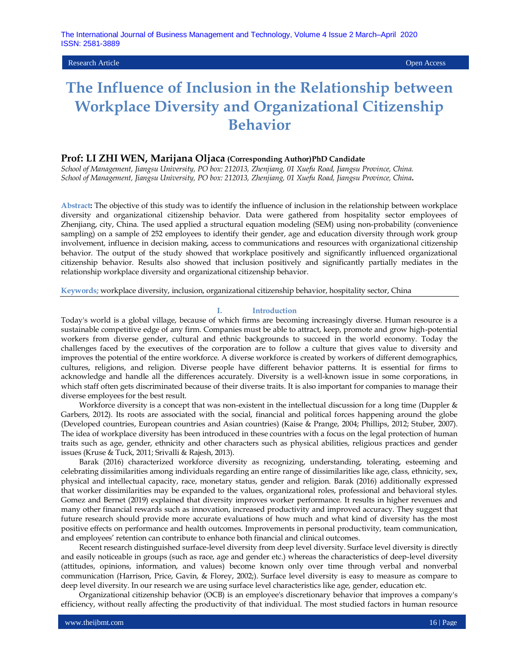Research Article Open Access

# **The Influence of Inclusion in the Relationship between Workplace Diversity and Organizational Citizenship Behavior**

#### **Prof: LI ZHI WEN, Marijana Oljaca (Corresponding Author)PhD Candidate**

*School of Management, Jiangsu University, PO box: 212013, Zhenjiang, 01 Xuefu Road, Jiangsu Province, China. School of Management, Jiangsu University, PO box: 212013, Zhenjiang, 01 Xuefu Road, Jiangsu Province, China***.**

**Abstract:** The objective of this study was to identify the influence of inclusion in the relationship between workplace diversity and organizational citizenship behavior. Data were gathered from hospitality sector employees of Zhenjiang, city, China. The used applied a structural equation modeling (SEM) using non-probability (convenience sampling) on a sample of 252 employees to identify their gender, age and education diversity through work group involvement, influence in decision making, access to communications and resources with organizational citizenship behavior. The output of the study showed that workplace positively and significantly influenced organizational citizenship behavior. Results also showed that inclusion positively and significantly partially mediates in the relationship workplace diversity and organizational citizenship behavior.

**Keywords;** workplace diversity, inclusion, organizational citizenship behavior, hospitality sector, China

#### **I. Introduction**

Today's world is a global village, because of which firms are becoming increasingly diverse. Human resource is a sustainable competitive edge of any firm. Companies must be able to attract, keep, promote and grow high-potential workers from diverse gender, cultural and ethnic backgrounds to succeed in the world economy. Today the challenges faced by the executives of the corporation are to follow a culture that gives value to diversity and improves the potential of the entire workforce. A diverse workforce is created by workers of different demographics, cultures, religions, and religion. Diverse people have different behavior patterns. It is essential for firms to acknowledge and handle all the differences accurately. Diversity is a well-known issue in some corporations, in which staff often gets discriminated because of their diverse traits. It is also important for companies to manage their diverse employees for the best result.

Workforce diversity is a concept that was non-existent in the intellectual discussion for a long time (Duppler & Garbers, 2012). Its roots are associated with the social, financial and political forces happening around the globe (Developed countries, European countries and Asian countries) (Kaise & Prange, 2004; Phillips, 2012; Stuber, 2007). The idea of workplace diversity has been introduced in these countries with a focus on the legal protection of human traits such as age, gender, ethnicity and other characters such as physical abilities, religious practices and gender issues (Kruse & Tuck, 2011; Srivalli & Rajesh, 2013).

Barak (2016) characterized workforce diversity as recognizing, understanding, tolerating, esteeming and celebrating dissimilarities among individuals regarding an entire range of dissimilarities like age, class, ethnicity, sex, physical and intellectual capacity, race, monetary status, gender and religion. Barak (2016) additionally expressed that worker dissimilarities may be expanded to the values, organizational roles, professional and behavioral styles. Gomez and Bernet (2019) explained that diversity improves worker performance. It results in higher revenues and many other financial rewards such as innovation, increased productivity and improved accuracy. They suggest that future research should provide more accurate evaluations of how much and what kind of diversity has the most positive effects on performance and health outcomes. Improvements in personal productivity, team communication, and employees' retention can contribute to enhance both financial and clinical outcomes.

Recent research distinguished surface-level diversity from deep level diversity. Surface level diversity is directly and easily noticeable in groups (such as race, age and gender etc.) whereas the characteristics of deep-level diversity (attitudes, opinions, information, and values) become known only over time through verbal and nonverbal communication (Harrison, Price, Gavin, & Florey, 2002;). Surface level diversity is easy to measure as compare to deep level diversity. In our research we are using surface level characteristics like age, gender, education etc.

Organizational citizenship behavior (OCB) is an employee's discretionary behavior that improves a company's efficiency, without really affecting the productivity of that individual. The most studied factors in human resource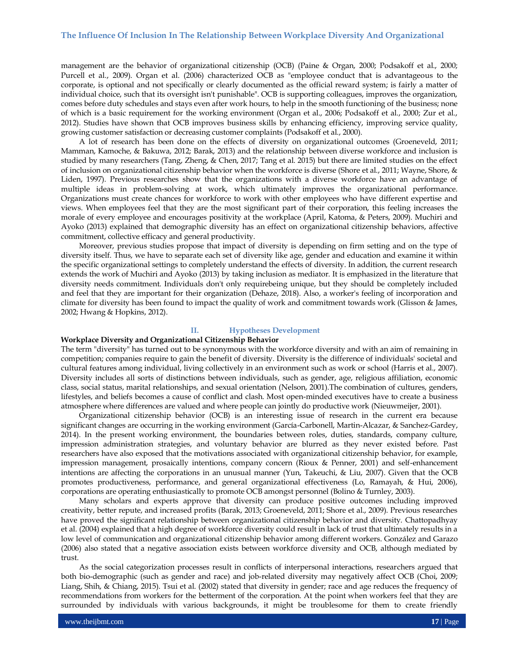management are the behavior of organizational citizenship (OCB) (Paine & Organ, 2000; Podsakoff et al., 2000; Purcell et al., 2009). Organ et al. (2006) characterized OCB as "employee conduct that is advantageous to the corporate, is optional and not specifically or clearly documented as the official reward system; is fairly a matter of individual choice, such that its oversight isn't punishable". OCB is supporting colleagues, improves the organization, comes before duty schedules and stays even after work hours, to help in the smooth functioning of the business; none of which is a basic requirement for the working environment (Organ et al., 2006; Podsakoff et al., 2000; Zur et al., 2012). Studies have shown that OCB improves business skills by enhancing efficiency, improving service quality, growing customer satisfaction or decreasing customer complaints (Podsakoff et al., 2000).

A lot of research has been done on the effects of diversity on organizational outcomes (Groeneveld, 2011; Mamman, Kamoche, & Bakuwa, 2012; Barak, 2013) and the relationship between diverse workforce and inclusion is studied by many researchers (Tang, Zheng, & Chen, 2017; Tang et al. 2015) but there are limited studies on the effect of inclusion on organizational citizenship behavior when the workforce is diverse (Shore et al., 2011; Wayne, Shore, & Liden, 1997). Previous researches show that the organizations with a diverse workforce have an advantage of multiple ideas in problem-solving at work, which ultimately improves the organizational performance. Organizations must create chances for workforce to work with other employees who have different expertise and views. When employees feel that they are the most significant part of their corporation, this feeling increases the morale of every employee and encourages positivity at the workplace (April, Katoma, & Peters, 2009). Muchiri and Ayoko (2013) explained that demographic diversity has an effect on organizational citizenship behaviors, affective commitment, collective efficacy and general productivity.

Moreover, previous studies propose that impact of diversity is depending on firm setting and on the type of diversity itself. Thus, we have to separate each set of diversity like age, gender and education and examine it within the specific organizational settings to completely understand the effects of diversity. In addition, the current research extends the work of Muchiri and Ayoko (2013) by taking inclusion as mediator. It is emphasized in the literature that diversity needs commitment. Individuals don't only requirebeing unique, but they should be completely included and feel that they are important for their organization (Dehaze, 2018). Also, a worker's feeling of incorporation and climate for diversity has been found to impact the quality of work and commitment towards work (Glisson & James, 2002; Hwang & Hopkins, 2012).

#### **II. Hypotheses Development**

#### **Workplace Diversity and Organizational Citizenship Behavior**

The term "diversity" has turned out to be synonymous with the workforce diversity and with an aim of remaining in competition; companies require to gain the benefit of diversity. Diversity is the difference of individuals' societal and cultural features among individual, living collectively in an environment such as work or school (Harris et al., 2007). Diversity includes all sorts of distinctions between individuals, such as gender, age, religious affiliation, economic class, social status, marital relationships, and sexual orientation (Nelson, 2001).The combination of cultures, genders, lifestyles, and beliefs becomes a cause of conflict and clash. Most open-minded executives have to create a business atmosphere where differences are valued and where people can jointly do productive work (Nieuwmeijer, 2001).

Organizational citizenship behavior (OCB) is an interesting issue of research in the current era because significant changes are occurring in the working environment (García-Carbonell, Martin-Alcazar, & Sanchez-Gardey, 2014). In the present working environment, the boundaries between roles, duties, standards, company culture, impression administration strategies, and voluntary behavior are blurred as they never existed before. Past researchers have also exposed that the motivations associated with organizational citizenship behavior, for example, impression management, prosaically intentions, company concern (Rioux & Penner, 2001) and self-enhancement intentions are affecting the corporations in an unusual manner (Yun, Takeuchi, & Liu, 2007). Given that the OCB promotes productiveness, performance, and general organizational effectiveness (Lo, Ramayah, & Hui, 2006), corporations are operating enthusiastically to promote OCB amongst personnel (Bolino & Turnley, 2003).

Many scholars and experts approve that diversity can produce positive outcomes including improved creativity, better repute, and increased profits (Barak, 2013; Groeneveld, 2011; Shore et al., 2009). Previous researches have proved the significant relationship between organizational citizenship behavior and diversity. Chattopadhyay et al. (2004) explained that a high degree of workforce diversity could result in lack of trust that ultimately results in a low level of communication and organizational citizenship behavior among different workers. González and Garazo (2006) also stated that a negative association exists between workforce diversity and OCB, although mediated by trust.

As the social categorization processes result in conflicts of interpersonal interactions, researchers argued that both bio-demographic (such as gender and race) and job-related diversity may negatively affect OCB (Choi, 2009; Liang, Shih, & Chiang, 2015). Tsui et al. (2002) stated that diversity in gender; race and age reduces the frequency of recommendations from workers for the betterment of the corporation. At the point when workers feel that they are surrounded by individuals with various backgrounds, it might be troublesome for them to create friendly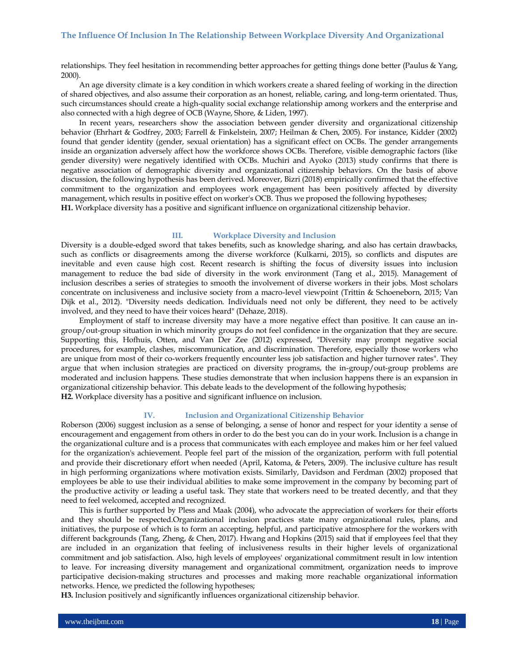relationships. They feel hesitation in recommending better approaches for getting things done better (Paulus & Yang, 2000).

An age diversity climate is a key condition in which workers create a shared feeling of working in the direction of shared objectives, and also assume their corporation as an honest, reliable, caring, and long-term orientated. Thus, such circumstances should create a high-quality social exchange relationship among workers and the enterprise and also connected with a high degree of OCB (Wayne, Shore, & Liden, 1997).

In recent years, researchers show the association between gender diversity and organizational citizenship behavior (Ehrhart & Godfrey, 2003; Farrell & Finkelstein, 2007; Heilman & Chen, 2005). For instance, Kidder (2002) found that gender identity (gender, sexual orientation) has a significant effect on OCBs. The gender arrangements inside an organization adversely affect how the workforce shows OCBs. Therefore, visible demographic factors (like gender diversity) were negatively identified with OCBs. Muchiri and Ayoko (2013) study confirms that there is negative association of demographic diversity and organizational citizenship behaviors. On the basis of above discussion, the following hypothesis has been derived. Moreover, Bizri (2018) empirically confirmed that the effective commitment to the organization and employees work engagement has been positively affected by diversity management, which results in positive effect on worker's OCB. Thus we proposed the following hypotheses; **H1.** Workplace diversity has a positive and significant influence on organizational citizenship behavior.

#### **III. Workplace Diversity and Inclusion**

Diversity is a double-edged sword that takes benefits, such as knowledge sharing, and also has certain drawbacks, such as conflicts or disagreements among the diverse workforce (Kulkarni, 2015), so conflicts and disputes are inevitable and even cause high cost. Recent research is shifting the focus of diversity issues into inclusion management to reduce the bad side of diversity in the work environment (Tang et al., 2015). Management of inclusion describes a series of strategies to smooth the involvement of diverse workers in their jobs. Most scholars concentrate on inclusiveness and inclusive society from a macro-level viewpoint (Trittin & Schoeneborn, 2015; Van Dijk et al., 2012). "Diversity needs dedication. Individuals need not only be different, they need to be actively involved, and they need to have their voices heard" (Dehaze, 2018).

Employment of staff to increase diversity may have a more negative effect than positive. It can cause an ingroup/out-group situation in which minority groups do not feel confidence in the organization that they are secure. Supporting this, Hofhuis, Otten, and Van Der Zee (2012) expressed, "Diversity may prompt negative social procedures, for example, clashes, miscommunication, and discrimination. Therefore, especially those workers who are unique from most of their co-workers frequently encounter less job satisfaction and higher turnover rates". They argue that when inclusion strategies are practiced on diversity programs, the in-group/out-group problems are moderated and inclusion happens. These studies demonstrate that when inclusion happens there is an expansion in organizational citizenship behavior. This debate leads to the development of the following hypothesis; **H2.** Workplace diversity has a positive and significant influence on inclusion.

#### **IV. Inclusion and Organizational Citizenship Behavior**

Roberson (2006) suggest inclusion as a sense of belonging, a sense of honor and respect for your identity a sense of encouragement and engagement from others in order to do the best you can do in your work. Inclusion is a change in the organizational culture and is a process that communicates with each employee and makes him or her feel valued for the organization's achievement. People feel part of the mission of the organization, perform with full potential and provide their discretionary effort when needed (April, Katoma, & Peters, 2009). The inclusive culture has result in high performing organizations where motivation exists. Similarly, Davidson and Ferdman (2002) proposed that employees be able to use their individual abilities to make some improvement in the company by becoming part of the productive activity or leading a useful task. They state that workers need to be treated decently, and that they need to feel welcomed, accepted and recognized.

This is further supported by Pless and Maak (2004), who advocate the appreciation of workers for their efforts and they should be respected.Organizational inclusion practices state many organizational rules, plans, and initiatives, the purpose of which is to form an accepting, helpful, and participative atmosphere for the workers with different backgrounds (Tang, Zheng, & Chen, 2017). Hwang and Hopkins (2015) said that if employees feel that they are included in an organization that feeling of inclusiveness results in their higher levels of organizational commitment and job satisfaction. Also, high levels of employees' organizational commitment result in low intention to leave. For increasing diversity management and organizational commitment, organization needs to improve participative decision-making structures and processes and making more reachable organizational information networks. Hence, we predicted the following hypotheses;

**H3.** Inclusion positively and significantly influences organizational citizenship behavior.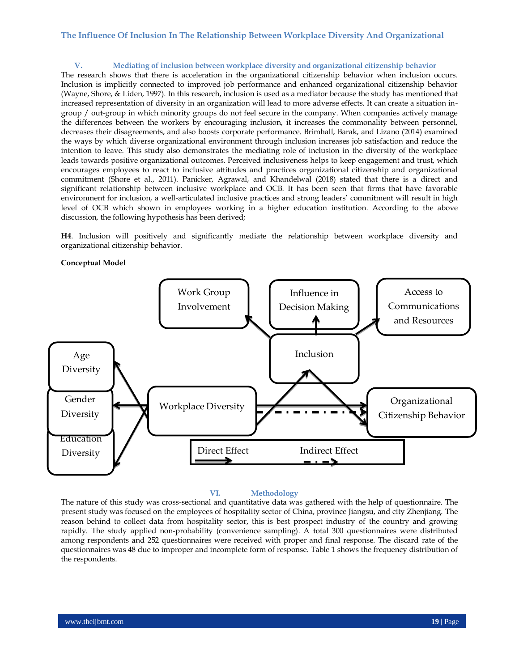### **V. Mediating of inclusion between workplace diversity and organizational citizenship behavior**

The research shows that there is acceleration in the organizational citizenship behavior when inclusion occurs. Inclusion is implicitly connected to improved job performance and enhanced organizational citizenship behavior (Wayne, Shore, & Liden, 1997). In this research, inclusion is used as a mediator because the study has mentioned that increased representation of diversity in an organization will lead to more adverse effects. It can create a situation ingroup / out-group in which minority groups do not feel secure in the company. When companies actively manage the differences between the workers by encouraging inclusion, it increases the commonality between personnel, decreases their disagreements, and also boosts corporate performance. Brimhall, Barak, and Lizano (2014) examined the ways by which diverse organizational environment through inclusion increases job satisfaction and reduce the intention to leave. This study also demonstrates the mediating role of inclusion in the diversity of the workplace leads towards positive organizational outcomes. Perceived inclusiveness helps to keep engagement and trust, which encourages employees to react to inclusive attitudes and practices organizational citizenship and organizational commitment (Shore et al., 2011). Panicker, Agrawal, and Khandelwal (2018) stated that there is a direct and significant relationship between inclusive workplace and OCB. It has been seen that firms that have favorable environment for inclusion, a well-articulated inclusive practices and strong leaders' commitment will result in high level of OCB which shown in employees working in a higher education institution. According to the above discussion, the following hypothesis has been derived;

**H4**. Inclusion will positively and significantly mediate the relationship between workplace diversity and organizational citizenship behavior.

#### **Conceptual Model**



### **VI. Methodology**

The nature of this study was cross-sectional and quantitative data was gathered with the help of questionnaire. The present study was focused on the employees of hospitality sector of China, province Jiangsu, and city Zhenjiang. The reason behind to collect data from hospitality sector, this is best prospect industry of the country and growing rapidly. The study applied non-probability (convenience sampling). A total 300 questionnaires were distributed among respondents and 252 questionnaires were received with proper and final response. The discard rate of the questionnaires was 48 due to improper and incomplete form of response. Table 1 shows the frequency distribution of the respondents.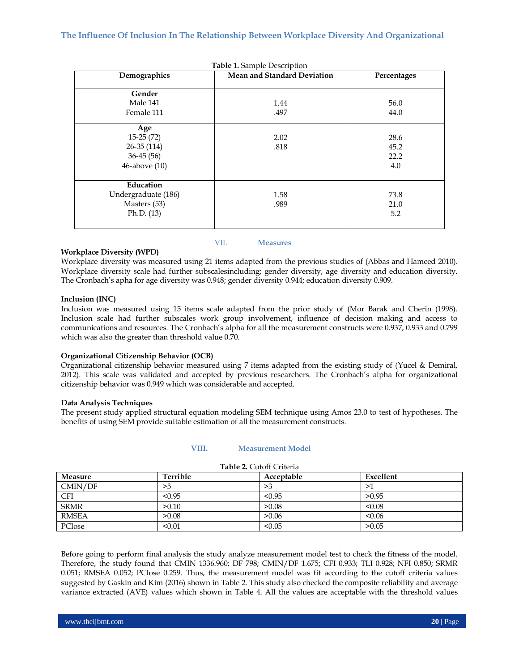| Table 1. Sample Description |                             |             |  |  |  |  |
|-----------------------------|-----------------------------|-------------|--|--|--|--|
| Demographics                | Mean and Standard Deviation | Percentages |  |  |  |  |
|                             |                             |             |  |  |  |  |
| Gender                      |                             |             |  |  |  |  |
| Male 141                    | 1.44                        | 56.0        |  |  |  |  |
| Female 111                  | .497                        | 44.0        |  |  |  |  |
| Age                         |                             |             |  |  |  |  |
| $15-25(72)$                 | 2.02                        | 28.6        |  |  |  |  |
| $26-35(114)$                | .818                        | 45.2        |  |  |  |  |
| $36-45(56)$                 |                             | 22.2        |  |  |  |  |
| 46-above (10)               |                             | 4.0         |  |  |  |  |
|                             |                             |             |  |  |  |  |
| Education                   |                             |             |  |  |  |  |
| Undergraduate (186)         | 1.58                        | 73.8        |  |  |  |  |
| Masters (53)                | .989                        | 21.0        |  |  |  |  |
| Ph.D. $(13)$                |                             | 5.2         |  |  |  |  |
|                             |                             |             |  |  |  |  |

#### **Workplace Diversity (WPD)**

Workplace diversity was measured using 21 items adapted from the previous studies of (Abbas and Hameed 2010). Workplace diversity scale had further subscalesincluding; gender diversity, age diversity and education diversity. The Cronbach's apha for age diversity was 0.948; gender diversity 0.944; education diversity 0.909.

VII. **Measures**

#### **Inclusion (INC)**

Inclusion was measured using 15 items scale adapted from the prior study of (Mor Barak and Cherin (1998). Inclusion scale had further subscales work group involvement, influence of decision making and access to communications and resources. The Cronbach's alpha for all the measurement constructs were 0.937, 0.933 and 0.799 which was also the greater than threshold value 0.70.

#### **Organizational Citizenship Behavior (OCB)**

Organizational citizenship behavior measured using 7 items adapted from the existing study of (Yucel & Demiral, 2012). This scale was validated and accepted by previous researchers. The Cronbach's alpha for organizational citizenship behavior was 0.949 which was considerable and accepted.

#### **Data Analysis Techniques**

The present study applied structural equation modeling SEM technique using Amos 23.0 to test of hypotheses. The benefits of using SEM provide suitable estimation of all the measurement constructs.

#### **VIII. Measurement Model**

| Measure      | Terrible | Acceptable | Excellent |
|--------------|----------|------------|-----------|
| CMIN/DF      | >5       | >3         | >1        |
| <b>CFI</b>   | < 0.95   | < 0.95     | > 0.95    |
| <b>SRMR</b>  | >0.10    | >0.08      | < 0.08    |
| <b>RMSEA</b> | >0.08    | >0.06      | < 0.06    |
| PClose       | < 0.01   | < 0.05     | >0.05     |

#### **Table 2.** Cutoff Criteria

Before going to perform final analysis the study analyze measurement model test to check the fitness of the model. Therefore, the study found that CMIN 1336.960; DF 798; CMIN/DF 1.675; CFI 0.933; TLI 0.928; NFI 0.850; SRMR 0.051; RMSEA 0.052; PClose 0.259. Thus, the measurement model was fit according to the cutoff criteria values suggested by Gaskin and Kim (2016) shown in Table 2. This study also checked the composite reliability and average variance extracted (AVE) values which shown in Table 4. All the values are acceptable with the threshold values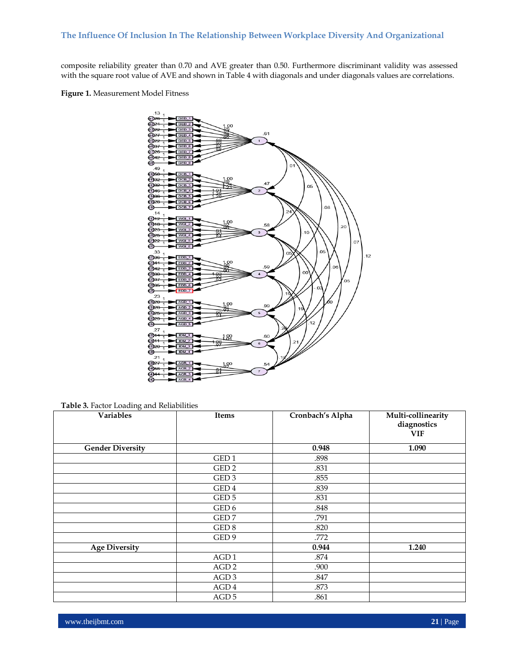composite reliability greater than 0.70 and AVE greater than 0.50. Furthermore discriminant validity was assessed with the square root value of AVE and shown in Table 4 with diagonals and under diagonals values are correlations.

**Figure 1.** Measurement Model Fitness



**Table 3.** Factor Loading and Reliabilities

| $\tilde{ }$<br>Variables | Items            | Cronbach's Alpha | Multi-collinearity<br>diagnostics<br>VIF |
|--------------------------|------------------|------------------|------------------------------------------|
| <b>Gender Diversity</b>  |                  | 0.948            | 1.090                                    |
|                          | GED <sub>1</sub> | .898             |                                          |
|                          | GED <sub>2</sub> | .831             |                                          |
|                          | GED <sub>3</sub> | .855             |                                          |
|                          | GED <sub>4</sub> | .839             |                                          |
|                          | GED <sub>5</sub> | .831             |                                          |
|                          | GED 6            | .848             |                                          |
|                          | GED <sub>7</sub> | .791             |                                          |
|                          | GED 8            | .820             |                                          |
|                          | GED <sub>9</sub> | .772             |                                          |
| <b>Age Diversity</b>     |                  | 0.944            | 1.240                                    |
|                          | AGD1             | .874             |                                          |
|                          | AGD <sub>2</sub> | .900             |                                          |
|                          | AGD <sub>3</sub> | .847             |                                          |
|                          | AGD <sub>4</sub> | .873             |                                          |
|                          | AGD <sub>5</sub> | .861             |                                          |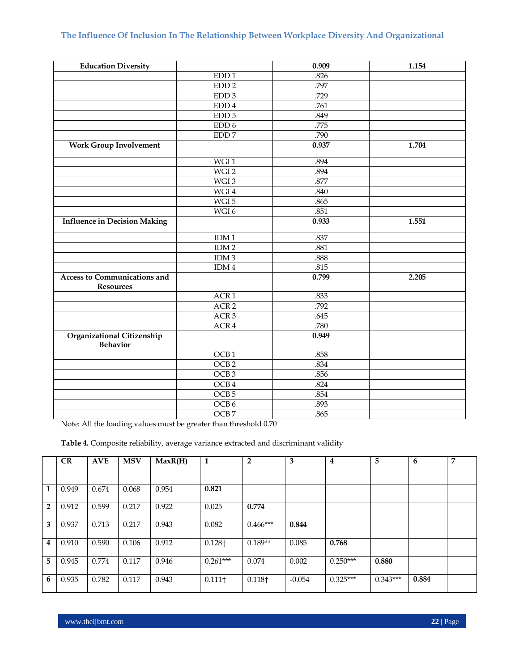| <b>Education Diversity</b>                              |                  | 0.909 | 1.154 |
|---------------------------------------------------------|------------------|-------|-------|
|                                                         | EDD <sub>1</sub> | .826  |       |
|                                                         | EDD <sub>2</sub> | .797  |       |
|                                                         | EDD <sub>3</sub> | .729  |       |
|                                                         | $\rm{EDD}$ 4     | .761  |       |
|                                                         | $\rm EDD$ 5      | .849  |       |
|                                                         | EDD 6            | .775  |       |
|                                                         | EDD <sub>7</sub> | .790  |       |
| <b>Work Group Involvement</b>                           |                  | 0.937 | 1.704 |
|                                                         | WGI1             | .894  |       |
|                                                         | WGI 2            | .894  |       |
|                                                         | WGI 3            | .877  |       |
|                                                         | WGI4             | .840  |       |
|                                                         | WGI 5            | .865  |       |
|                                                         | WGI6             | .851  |       |
| <b>Influence in Decision Making</b>                     |                  | 0.933 | 1.551 |
|                                                         | IDM1             | .837  |       |
|                                                         | IDM2             | .881  |       |
|                                                         | IDM3             | .888  |       |
|                                                         | IDM4             | .815  |       |
| <b>Access to Communications and</b><br><b>Resources</b> |                  | 0.799 | 2.205 |
|                                                         | ACR <sub>1</sub> | .833  |       |
|                                                         | ACR <sub>2</sub> | .792  |       |
|                                                         | ACR <sub>3</sub> | .645  |       |
|                                                         | ACR 4            | .780  |       |
| Organizational Citizenship<br><b>Behavior</b>           |                  | 0.949 |       |
|                                                         | OCB <sub>1</sub> | .858  |       |
|                                                         | OCB <sub>2</sub> | .834  |       |
|                                                         | OCB <sub>3</sub> | .856  |       |
|                                                         | OCB4             | .824  |       |
|                                                         | OCB <sub>5</sub> | .854  |       |
|                                                         | OCB6             | .893  |       |
|                                                         | OCB <sub>7</sub> | .865  |       |

Note: All the loading values must be greater than threshold 0.70

**Table 4.** Composite reliability, average variance extracted and discriminant validity

|                | CR    | <b>AVE</b> | <b>MSV</b> | MaxR(H) | $\mathbf{1}$         | $\overline{2}$ | 3        | $\overline{4}$ | 5          | 6     | 7 |
|----------------|-------|------------|------------|---------|----------------------|----------------|----------|----------------|------------|-------|---|
| $\mathbf{1}$   | 0.949 | 0.674      | 0.068      | 0.954   | 0.821                |                |          |                |            |       |   |
| $\overline{2}$ |       |            |            |         |                      |                |          |                |            |       |   |
|                | 0.912 | 0.599      | 0.217      | 0.922   | 0.025                | 0.774          |          |                |            |       |   |
| 3              | 0.937 | 0.713      | 0.217      | 0.943   | 0.082                | $0.466***$     | 0.844    |                |            |       |   |
| $\overline{4}$ | 0.910 | 0.590      | 0.106      | 0.912   | $0.128\dagger$       | $0.189**$      | 0.085    | 0.768          |            |       |   |
| 5.             | 0.945 | 0.774      | 0.117      | 0.946   | $0.261***$           | 0.074          | 0.002    | $0.250***$     | 0.880      |       |   |
| 6              | 0.935 | 0.782      | 0.117      | 0.943   | $0.111$ <sup>+</sup> | 0.118†         | $-0.054$ | $0.325***$     | $0.343***$ | 0.884 |   |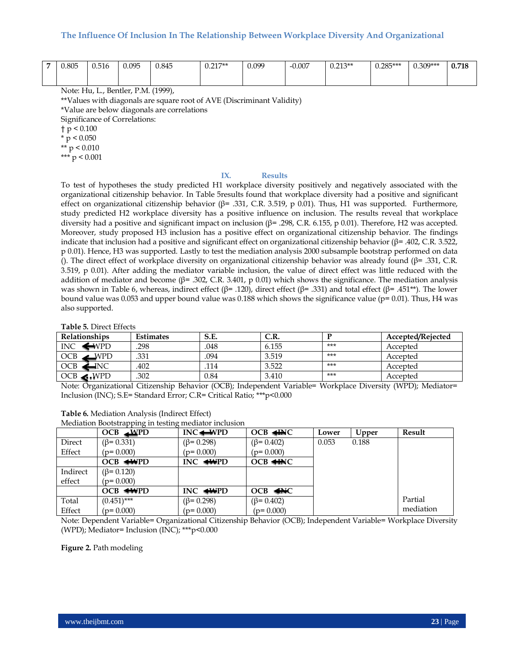| - | $\Omega$<br>u.ou: | v.vit | 005<br>いいへ | 0.845 | $0.217**$<br>$\mathsf{v}.\mathsf{v}$ | 0.099 | $-0.007$ | በ ገ12**<br>$\mathbf{v} \cdot \mathbf{v}$ | $0.285***$<br>v.∠∪∪ | $200***$<br>$\mathsf{v}.\mathsf{v} \mathsf{v}$ | $-40$<br><u>v.,</u> |
|---|-------------------|-------|------------|-------|--------------------------------------|-------|----------|------------------------------------------|---------------------|------------------------------------------------|---------------------|
|   |                   |       |            |       |                                      |       |          |                                          |                     |                                                |                     |

Note: Hu, L., Bentler, P.M. (1999),

\*\*Values with diagonals are square root of AVE (Discriminant Validity)

\*Value are below diagonals are correlations

Significance of Correlations:

 $\dagger$  p < 0.100

 $*$  p < 0.050

\*\* p < 0.010 \*\*\*  $p < 0.001$ 

#### **IX. Results**

To test of hypotheses the study predicted H1 workplace diversity positively and negatively associated with the organizational citizenship behavior. In Table 5results found that workplace diversity had a positive and significant effect on organizational citizenship behavior (β= .331, C.R. 3.519, p 0.01). Thus, H1 was supported. Furthermore, study predicted H2 workplace diversity has a positive influence on inclusion. The results reveal that workplace diversity had a positive and significant impact on inclusion ( $\beta$ = .298, C.R. 6.155, p 0.01). Therefore, H2 was accepted. Moreover, study proposed H3 inclusion has a positive effect on organizational citizenship behavior. The findings indicate that inclusion had a positive and significant effect on organizational citizenship behavior (β= .402, C.R. 3.522, p 0.01). Hence, H3 was supported. Lastly to test the mediation analysis 2000 subsample bootstrap performed on data (). The direct effect of workplace diversity on organizational citizenship behavior was already found (β= .331, C.R. 3.519, p 0.01). After adding the mediator variable inclusion, the value of direct effect was little reduced with the addition of mediator and become ( $\beta$ = .302, C.R. 3.401, p 0.01) which shows the significance. The mediation analysis was shown in Table 6, whereas, indirect effect (β= .120), direct effect (β= .331) and total effect (β= .451<sup>\*\*</sup>). The lower bound value was 0.053 and upper bound value was 0.188 which shows the significance value ( $p= 0.01$ ). Thus, H4 was also supported.

#### **Table 5.** Direct Effects

| <b>Relationships</b>          | <b>Estimates</b> | S.E. | cр<br>∪…… |     | Accepted/Rejected |
|-------------------------------|------------------|------|-----------|-----|-------------------|
| <b>INC</b><br>$\bigoplus$ vpd | 298              | 048  | 6.155     | *** | Accepted          |
| <b>OCB</b><br>WPD             | .331             | .094 | 3.519     | *** | Accepted          |
| <b>OCB</b><br>JNC.            | .402             | 114  | 3.522     | *** | Accepted          |
| $OCB \blacktriangleleft WPD$  | .302             | 0.84 | 3.410     | *** | Accepted          |

Note: Organizational Citizenship Behavior (OCB); Independent Variable= Workplace Diversity (WPD); Mediator= Inclusion (INC); S.E= Standard Error; C.R= Critical Ratio; \*\*\*p<0.000

| Table 6. Mediation Analysis (Indirect Effect) |  |
|-----------------------------------------------|--|
|-----------------------------------------------|--|

Mediation Bootstrapping in testing mediator inclusion

|          | $OCB \triangle$ PD       | $INC \rightarrow \text{WPD}$ | $OCB \triangleleft HAC$                           | Lower | Upper | Result    |
|----------|--------------------------|------------------------------|---------------------------------------------------|-------|-------|-----------|
| Direct   | $(\beta = 0.331)$        | $(\beta = 0.298)$            | $(\beta = 0.402)$                                 | 0.053 | 0.188 |           |
| Effect   | $(p=0.000)$              | $(p=0.000)$                  | $(p=0.000)$                                       |       |       |           |
|          | $OCB \leftrightarrow PD$ | $INC \leftrightarrow P$      | $OCB \triangleleft HNC$                           |       |       |           |
| Indirect | $(\beta = 0.120)$        |                              |                                                   |       |       |           |
| effect   | $(p=0.000)$              |                              |                                                   |       |       |           |
|          | $OCB \leftrightarrow PD$ | $INC \leftrightarrow P$      | $OCB \triangleleft \triangleleft \triangleleft C$ |       |       |           |
| Total    | $(0.451)$ ***            | $(\beta = 0.298)$            | $(\beta = 0.402)$                                 |       |       | Partial   |
| Effect   | $(p=0.000)$              | $(p=0.000)$                  | $(p=0.000)$                                       |       |       | mediation |

Note: Dependent Variable= Organizational Citizenship Behavior (OCB); Independent Variable= Workplace Diversity (WPD); Mediator= Inclusion (INC); \*\*\*p<0.000

**Figure 2.** Path modeling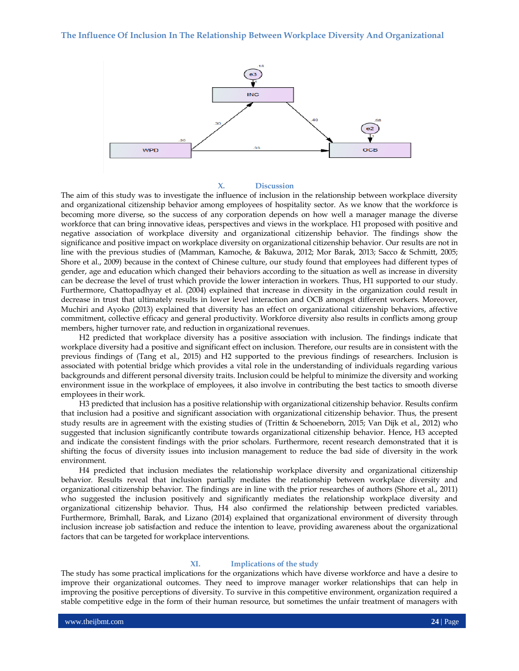

#### **X. Discussion**

The aim of this study was to investigate the influence of inclusion in the relationship between workplace diversity and organizational citizenship behavior among employees of hospitality sector. As we know that the workforce is becoming more diverse, so the success of any corporation depends on how well a manager manage the diverse workforce that can bring innovative ideas, perspectives and views in the workplace. H1 proposed with positive and negative association of workplace diversity and organizational citizenship behavior. The findings show the significance and positive impact on workplace diversity on organizational citizenship behavior. Our results are not in line with the previous studies of (Mamman, Kamoche, & Bakuwa, 2012; Mor Barak, 2013; Sacco & Schmitt, 2005; Shore et al., 2009) because in the context of Chinese culture, our study found that employees had different types of gender, age and education which changed their behaviors according to the situation as well as increase in diversity can be decrease the level of trust which provide the lower interaction in workers. Thus, H1 supported to our study. Furthermore, Chattopadhyay et al. (2004) explained that increase in diversity in the organization could result in decrease in trust that ultimately results in lower level interaction and OCB amongst different workers. Moreover, Muchiri and Ayoko (2013) explained that diversity has an effect on organizational citizenship behaviors, affective commitment, collective efficacy and general productivity. Workforce diversity also results in conflicts among group members, higher turnover rate, and reduction in organizational revenues.

H2 predicted that workplace diversity has a positive association with inclusion. The findings indicate that workplace diversity had a positive and significant effect on inclusion. Therefore, our results are in consistent with the previous findings of (Tang et al., 2015) and H2 supported to the previous findings of researchers. Inclusion is associated with potential bridge which provides a vital role in the understanding of individuals regarding various backgrounds and different personal diversity traits. Inclusion could be helpful to minimize the diversity and working environment issue in the workplace of employees, it also involve in contributing the best tactics to smooth diverse employees in their work.

H3 predicted that inclusion has a positive relationship with organizational citizenship behavior. Results confirm that inclusion had a positive and significant association with organizational citizenship behavior. Thus, the present study results are in agreement with the existing studies of (Trittin & Schoeneborn, 2015; Van Dijk et al., 2012) who suggested that inclusion significantly contribute towards organizational citizenship behavior. Hence, H3 accepted and indicate the consistent findings with the prior scholars. Furthermore, recent research demonstrated that it is shifting the focus of diversity issues into inclusion management to reduce the bad side of diversity in the work environment.

H4 predicted that inclusion mediates the relationship workplace diversity and organizational citizenship behavior. Results reveal that inclusion partially mediates the relationship between workplace diversity and organizational citizenship behavior. The findings are in line with the prior researches of authors (Shore et al., 2011) who suggested the inclusion positively and significantly mediates the relationship workplace diversity and organizational citizenship behavior. Thus, H4 also confirmed the relationship between predicted variables. Furthermore, Brimhall, Barak, and Lizano (2014) explained that organizational environment of diversity through inclusion increase job satisfaction and reduce the intention to leave, providing awareness about the organizational factors that can be targeted for workplace interventions.

#### **XI. Implications of the study**

The study has some practical implications for the organizations which have diverse workforce and have a desire to improve their organizational outcomes. They need to improve manager worker relationships that can help in improving the positive perceptions of diversity. To survive in this competitive environment, organization required a stable competitive edge in the form of their human resource, but sometimes the unfair treatment of managers with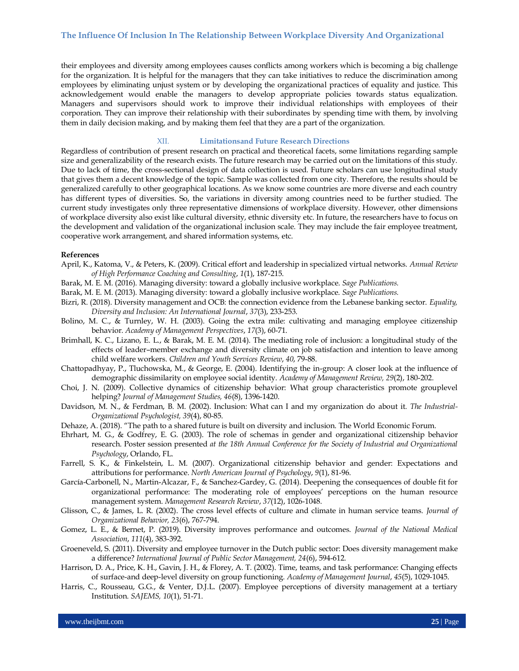their employees and diversity among employees causes conflicts among workers which is becoming a big challenge for the organization. It is helpful for the managers that they can take initiatives to reduce the discrimination among employees by eliminating unjust system or by developing the organizational practices of equality and justice. This acknowledgement would enable the managers to develop appropriate policies towards status equalization. Managers and supervisors should work to improve their individual relationships with employees of their corporation. They can improve their relationship with their subordinates by spending time with them, by involving them in daily decision making, and by making them feel that they are a part of the organization.

XII. **Limitationsand Future Research Directions**

Regardless of contribution of present research on practical and theoretical facets, some limitations regarding sample size and generalizability of the research exists. The future research may be carried out on the limitations of this study. Due to lack of time, the cross-sectional design of data collection is used. Future scholars can use longitudinal study that gives them a decent knowledge of the topic. Sample was collected from one city. Therefore, the results should be generalized carefully to other geographical locations. As we know some countries are more diverse and each country has different types of diversities. So, the variations in diversity among countries need to be further studied. The current study investigates only three representative dimensions of workplace diversity. However, other dimensions of workplace diversity also exist like cultural diversity, ethnic diversity etc. In future, the researchers have to focus on the development and validation of the organizational inclusion scale. They may include the fair employee treatment, cooperative work arrangement, and shared information systems, etc.

#### **References**

- April, K., Katoma, V., & Peters, K. (2009). Critical effort and leadership in specialized virtual networks. *Annual Review of High Performance Coaching and Consulting*, *1*(1), 187-215.
- Barak, M. E. M. (2016). Managing diversity: toward a globally inclusive workplace. *Sage Publications.*
- Barak, M. E. M. (2013). Managing diversity: toward a globally inclusive workplace. *Sage Publications.*
- Bizri, R. (2018). Diversity management and OCB: the connection evidence from the Lebanese banking sector. *Equality, Diversity and Inclusion: An International Journal*, *37*(3), 233-253.
- Bolino, M. C., & Turnley, W. H. (2003). Going the extra mile: cultivating and managing employee citizenship behavior. *Academy of Management Perspectives*, *17*(3), 60-71.
- Brimhall, K. C., Lizano, E. L., & Barak, M. E. M. (2014). The mediating role of inclusion: a longitudinal study of the effects of leader–member exchange and diversity climate on job satisfaction and intention to leave among child welfare workers. *Children and Youth Services Review*, *40*, 79-88.
- Chattopadhyay, P., Tluchowska, M., & George, E. (2004). Identifying the in-group: A closer look at the influence of demographic dissimilarity on employee social identity. *Academy of Management Review, 29*(2), 180-202.
- Choi, J. N. (2009). Collective dynamics of citizenship behavior: What group characteristics promote grouplevel helping? *Journal of Management Studies, 46*(8), 1396-1420.
- Davidson, M. N., & Ferdman, B. M. (2002). Inclusion: What can I and my organization do about it. *The Industrial-Organizational Psychologist, 39*(4), 80-85.
- Dehaze, A. (2018). "The path to a shared future is built on diversity and inclusion. The World Economic Forum.
- Ehrhart, M. G., & Godfrey, E. G. (2003). The role of schemas in gender and organizational citizenship behavior research. Poster session presented *at the 18th Annual Conference for the Society of Industrial and Organizational Psychology*, Orlando, FL.
- Farrell, S. K., & Finkelstein, L. M. (2007). Organizational citizenship behavior and gender: Expectations and attributions for performance. *North American Journal of Psychology*, *9*(1), 81-96.
- García-Carbonell, N., Martin-Alcazar, F., & Sanchez-Gardey, G. (2014). Deepening the consequences of double fit for organizational performance: The moderating role of employees' perceptions on the human resource management system. *Management Research Review*, *37*(12), 1026-1048.
- Glisson, C., & James, L. R. (2002). The cross level effects of culture and climate in human service teams. *Journal of Organizational Behavior, 23*(6), 767-794.
- Gomez, L. E., & Bernet, P. (2019). Diversity improves performance and outcomes. *Journal of the National Medical Association*, *111*(4), 383-392.
- Groeneveld, S. (2011). Diversity and employee turnover in the Dutch public sector: Does diversity management make a difference? *International Journal of Public Sector Management, 24*(6), 594-612.
- Harrison, D. A., Price, K. H., Gavin, J. H., & Florey, A. T. (2002). Time, teams, and task performance: Changing effects of surface-and deep-level diversity on group functioning. *Academy of Management Journal*, *45*(5), 1029-1045.
- Harris, C., Rousseau, G.G., & Venter, D.J.L. (2007). Employee perceptions of diversity management at a tertiary Institution. *SAJEMS, 10*(1), 51-71.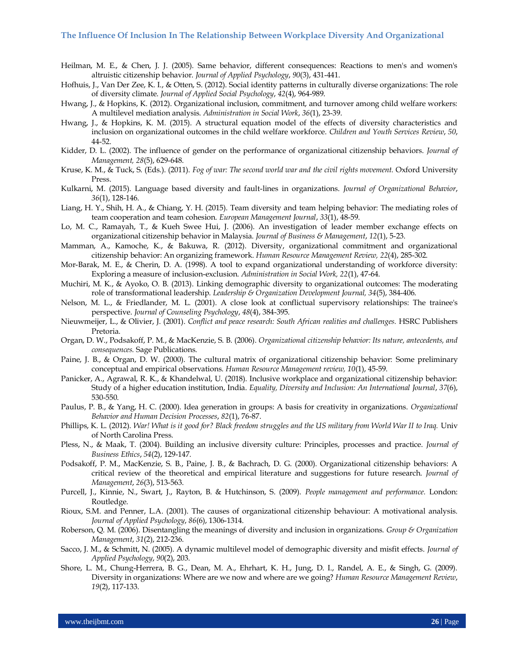- Heilman, M. E., & Chen, J. J. (2005). Same behavior, different consequences: Reactions to men's and women's altruistic citizenship behavior. *Journal of Applied Psychology*, *90*(3), 431-441.
- Hofhuis, J., Van Der Zee, K. I., & Otten, S. (2012). Social identity patterns in culturally diverse organizations: The role of diversity climate. *Journal of Applied Social Psychology*, *42*(4), 964-989.
- Hwang, J., & Hopkins, K. (2012). Organizational inclusion, commitment, and turnover among child welfare workers: A multilevel mediation analysis. *Administration in Social Work*, *36*(1), 23-39.
- Hwang, J., & Hopkins, K. M. (2015). A structural equation model of the effects of diversity characteristics and inclusion on organizational outcomes in the child welfare workforce. *Children and Youth Services Review*, *50*, 44-52.
- Kidder, D. L. (2002). The influence of gender on the performance of organizational citizenship behaviors. *Journal of Management, 28*(5), 629-648.
- Kruse, K. M., & Tuck, S. (Eds.). (2011). *Fog of war: The second world war and the civil rights movement.* Oxford University Press.
- Kulkarni, M. (2015). Language based diversity and fault-lines in organizations. *Journal of Organizational Behavior*, *36*(1), 128-146.
- Liang, H. Y., Shih, H. A., & Chiang, Y. H. (2015). Team diversity and team helping behavior: The mediating roles of team cooperation and team cohesion. *European Management Journal*, *33*(1), 48-59.
- Lo, M. C., Ramayah, T., & Kueh Swee Hui, J. (2006). An investigation of leader member exchange effects on organizational citizenship behavior in Malaysia. *Journal of Business & Management*, *12*(1), 5-23.
- Mamman, A., Kamoche, K., & Bakuwa, R. (2012). Diversity, organizational commitment and organizational citizenship behavior: An organizing framework. *Human Resource Management Review, 22*(4), 285-302.
- Mor-Barak, M. E., & Cherin, D. A. (1998). A tool to expand organizational understanding of workforce diversity: Exploring a measure of inclusion-exclusion. *Administration in Social Work, 22*(1), 47-64.
- Muchiri, M. K., & Ayoko, O. B. (2013). Linking demographic diversity to organizational outcomes: The moderating role of transformational leadership. *Leadership & Organization Development Journal, 34*(5), 384-406.
- Nelson, M. L., & Friedlander, M. L. (2001). A close look at conflictual supervisory relationships: The trainee's perspective. *Journal of Counseling Psychology*, *48*(4), 384-395.
- Nieuwmeijer, L., & Olivier, J. (2001). *Conflict and peace research: South African realities and challenges.* HSRC Publishers Pretoria.
- Organ, D. W., Podsakoff, P. M., & MacKenzie, S. B. (2006). *Organizational citizenship behavior: Its nature, antecedents, and consequences.* Sage Publications.
- Paine, J. B., & Organ, D. W. (2000). The cultural matrix of organizational citizenship behavior: Some preliminary conceptual and empirical observations. *Human Resource Management review, 10*(1), 45-59.
- Panicker, A., Agrawal, R. K., & Khandelwal, U. (2018). Inclusive workplace and organizational citizenship behavior: Study of a higher education institution, India. *Equality, Diversity and Inclusion: An International Journal*, *37*(6), 530-550.
- Paulus, P. B., & Yang, H. C. (2000). Idea generation in groups: A basis for creativity in organizations. *Organizational Behavior and Human Decision Processes*, *82*(1), 76-87.
- Phillips, K. L. (2012). *War! What is it good for? Black freedom struggles and the US military from World War II to Iraq.* Univ of North Carolina Press.
- Pless, N., & Maak, T. (2004). Building an inclusive diversity culture: Principles, processes and practice. *Journal of Business Ethics*, *54*(2), 129-147.
- Podsakoff, P. M., MacKenzie, S. B., Paine, J. B., & Bachrach, D. G. (2000). Organizational citizenship behaviors: A critical review of the theoretical and empirical literature and suggestions for future research. *Journal of Management*, *26*(3), 513-563.
- Purcell, J., Kinnie, N., Swart, J., Rayton, B. & Hutchinson, S. (2009). *People management and performance.* London: Routledge.
- Rioux, S.M. and Penner, L.A. (2001). The causes of organizational citizenship behaviour: A motivational analysis. *Journal of Applied Psychology*, *86*(6), 1306-1314.
- Roberson, Q. M. (2006). Disentangling the meanings of diversity and inclusion in organizations. *Group & Organization Management*, *31*(2), 212-236.
- Sacco, J. M., & Schmitt, N. (2005). A dynamic multilevel model of demographic diversity and misfit effects. *Journal of Applied Psychology*, *90*(2), 203.
- Shore, L. M., Chung-Herrera, B. G., Dean, M. A., Ehrhart, K. H., Jung, D. I., Randel, A. E., & Singh, G. (2009). Diversity in organizations: Where are we now and where are we going? *Human Resource Management Review*, *19*(2), 117-133.